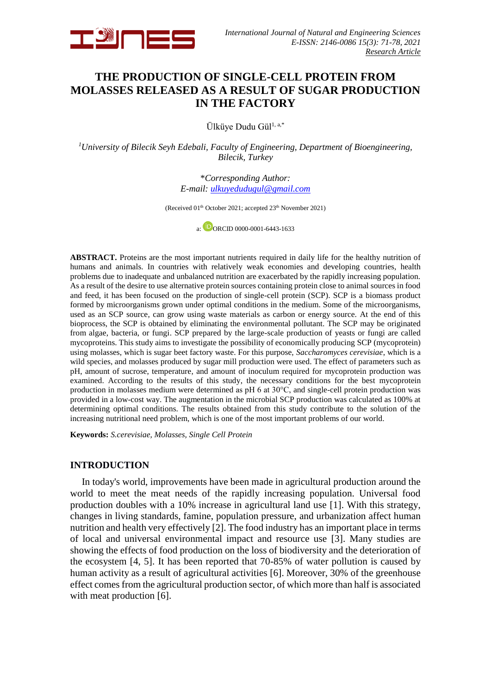

# **THE PRODUCTION OF SINGLE-CELL PROTEIN FROM MOLASSES RELEASED AS A RESULT OF SUGAR PRODUCTION IN THE FACTORY**

Ülküye Dudu Gül<sup>1, a,\*</sup>

*<sup>1</sup>University of Bilecik Seyh Edebali, Faculty of Engineering, Department of Bioengineering, Bilecik, Turkey*

> \**Corresponding Author: E-mail: [ulkuyedudugul@gmail.com](mailto:xxxxxxxx@xxxxx.com)*

(Received 01<sup>th</sup> October 2021; accepted 23<sup>th</sup> November 2021)

a: DORCID [0000-0001-6443-1633](https://orcid.org/0000-0001-6443-1633)

**ABSTRACT.** Proteins are the most important nutrients required in daily life for the healthy nutrition of humans and animals. In countries with relatively weak economies and developing countries, health problems due to inadequate and unbalanced nutrition are exacerbated by the rapidly increasing population. As a result of the desire to use alternative protein sources containing protein close to animal sources in food and feed, it has been focused on the production of single-cell protein (SCP). SCP is a biomass product formed by microorganisms grown under optimal conditions in the medium. Some of the microorganisms, used as an SCP source, can grow using waste materials as carbon or energy source. At the end of this bioprocess, the SCP is obtained by eliminating the environmental pollutant. The SCP may be originated from algae, bacteria, or fungi. SCP prepared by the large-scale production of yeasts or fungi are called mycoproteins. This study aims to investigate the possibility of economically producing SCP (mycoprotein) using molasses, which is sugar beet factory waste. For this purpose, *Saccharomyces cerevisiae*, which is a wild species, and molasses produced by sugar mill production were used. The effect of parameters such as pH, amount of sucrose, temperature, and amount of inoculum required for mycoprotein production was examined. According to the results of this study, the necessary conditions for the best mycoprotein production in molasses medium were determined as pH 6 at 30°C, and single-cell protein production was provided in a low-cost way. The augmentation in the microbial SCP production was calculated as 100% at determining optimal conditions. The results obtained from this study contribute to the solution of the increasing nutritional need problem, which is one of the most important problems of our world.

**Keywords:** *S.cerevisiae, Molasses, Single Cell Protein*

## **INTRODUCTION**

In today's world, improvements have been made in agricultural production around the world to meet the meat needs of the rapidly increasing population. Universal food production doubles with a 10% increase in agricultural land use [1]. With this strategy, changes in living standards, famine, population pressure, and urbanization affect human nutrition and health very effectively [2]. The food industry has an important place in terms of local and universal environmental impact and resource use [3]. Many studies are showing the effects of food production on the loss of biodiversity and the deterioration of the ecosystem [4, 5]. It has been reported that 70-85% of water pollution is caused by human activity as a result of agricultural activities [6]. Moreover, 30% of the greenhouse effect comes from the agricultural production sector, of which more than half is associated with meat production [6].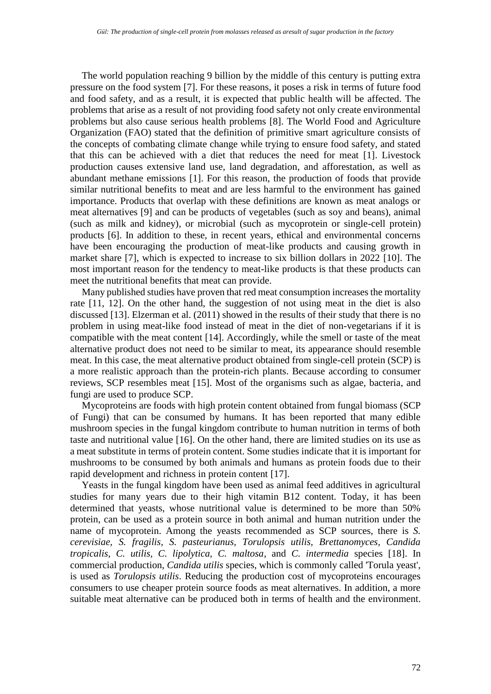The world population reaching 9 billion by the middle of this century is putting extra pressure on the food system [7]. For these reasons, it poses a risk in terms of future food and food safety, and as a result, it is expected that public health will be affected. The problems that arise as a result of not providing food safety not only create environmental problems but also cause serious health problems [8]. The World Food and Agriculture Organization (FAO) stated that the definition of primitive smart agriculture consists of the concepts of combating climate change while trying to ensure food safety, and stated that this can be achieved with a diet that reduces the need for meat [1]. Livestock production causes extensive land use, land degradation, and afforestation, as well as abundant methane emissions [1]. For this reason, the production of foods that provide similar nutritional benefits to meat and are less harmful to the environment has gained importance. Products that overlap with these definitions are known as meat analogs or meat alternatives [9] and can be products of vegetables (such as soy and beans), animal (such as milk and kidney), or microbial (such as mycoprotein or single-cell protein) products [6]. In addition to these, in recent years, ethical and environmental concerns have been encouraging the production of meat-like products and causing growth in market share [7], which is expected to increase to six billion dollars in 2022 [10]. The most important reason for the tendency to meat-like products is that these products can meet the nutritional benefits that meat can provide.

Many published studies have proven that red meat consumption increases the mortality rate [11, 12]. On the other hand, the suggestion of not using meat in the diet is also discussed [13]. Elzerman et al. (2011) showed in the results of their study that there is no problem in using meat-like food instead of meat in the diet of non-vegetarians if it is compatible with the meat content [14]. Accordingly, while the smell or taste of the meat alternative product does not need to be similar to meat, its appearance should resemble meat. In this case, the meat alternative product obtained from single-cell protein (SCP) is a more realistic approach than the protein-rich plants. Because according to consumer reviews, SCP resembles meat [15]. Most of the organisms such as algae, bacteria, and fungi are used to produce SCP.

Mycoproteins are foods with high protein content obtained from fungal biomass (SCP of Fungi) that can be consumed by humans. It has been reported that many edible mushroom species in the fungal kingdom contribute to human nutrition in terms of both taste and nutritional value [16]. On the other hand, there are limited studies on its use as a meat substitute in terms of protein content. Some studies indicate that it is important for mushrooms to be consumed by both animals and humans as protein foods due to their rapid development and richness in protein content [17].

Yeasts in the fungal kingdom have been used as animal feed additives in agricultural studies for many years due to their high vitamin B12 content. Today, it has been determined that yeasts, whose nutritional value is determined to be more than 50% protein, can be used as a protein source in both animal and human nutrition under the name of mycoprotein. Among the yeasts recommended as SCP sources, there is *S. cerevisiae, S. fragilis, S. pasteurianus, Torulopsis utilis, Brettanomyces, Candida tropicalis, C. utilis, C. lipolytica, C. maltosa,* and *C. intermedia* species [18]. In commercial production, *Candida utilis* species, which is commonly called 'Torula yeast', is used as *Torulopsis utilis*. Reducing the production cost of mycoproteins encourages consumers to use cheaper protein source foods as meat alternatives. In addition, a more suitable meat alternative can be produced both in terms of health and the environment.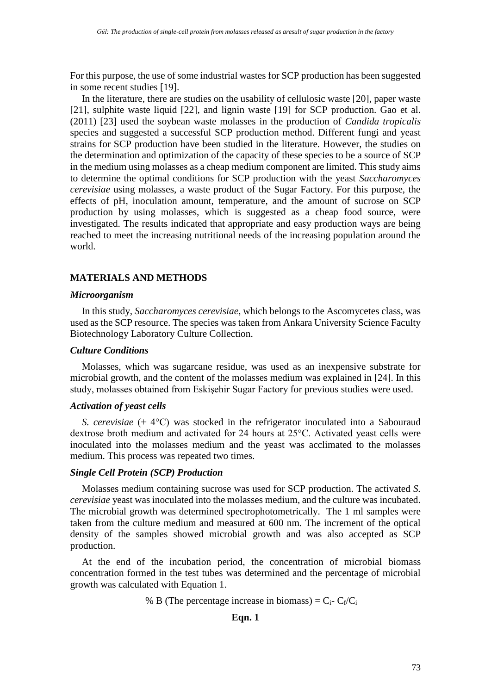For this purpose, the use of some industrial wastes for SCP production has been suggested in some recent studies [19].

In the literature, there are studies on the usability of cellulosic waste [20], paper waste [21], sulphite waste liquid [22], and lignin waste [19] for SCP production. Gao et al. (2011) [23] used the soybean waste molasses in the production of *Candida tropicalis* species and suggested a successful SCP production method. Different fungi and yeast strains for SCP production have been studied in the literature. However, the studies on the determination and optimization of the capacity of these species to be a source of SCP in the medium using molasses as a cheap medium component are limited. This study aims to determine the optimal conditions for SCP production with the yeast *Saccharomyces cerevisiae* using molasses, a waste product of the Sugar Factory. For this purpose, the effects of pH, inoculation amount, temperature, and the amount of sucrose on SCP production by using molasses, which is suggested as a cheap food source, were investigated. The results indicated that appropriate and easy production ways are being reached to meet the increasing nutritional needs of the increasing population around the world.

# **MATERIALS AND METHODS**

## *Microorganism*

In this study, *Saccharomyces cerevisiae*, which belongs to the Ascomycetes class, was used as the SCP resource. The species was taken from Ankara University Science Faculty Biotechnology Laboratory Culture Collection.

## *Culture Conditions*

Molasses, which was sugarcane residue, was used as an inexpensive substrate for microbial growth, and the content of the molasses medium was explained in [24]. In this study, molasses obtained from Eskişehir Sugar Factory for previous studies were used.

# *Activation of yeast cells*

*S. cerevisiae* (+ 4°C) was stocked in the refrigerator inoculated into a Sabouraud dextrose broth medium and activated for 24 hours at 25°C. Activated yeast cells were inoculated into the molasses medium and the yeast was acclimated to the molasses medium. This process was repeated two times.

## *Single Cell Protein (SCP) Production*

Molasses medium containing sucrose was used for SCP production. The activated *S. cerevisiae* yeast was inoculated into the molasses medium, and the culture was incubated. The microbial growth was determined spectrophotometrically. The 1 ml samples were taken from the culture medium and measured at 600 nm. The increment of the optical density of the samples showed microbial growth and was also accepted as SCP production.

At the end of the incubation period, the concentration of microbial biomass concentration formed in the test tubes was determined and the percentage of microbial growth was calculated with Equation 1.

% B (The percentage increase in biomass) =  $C_i$ -  $C_f/C_i$ 

## **Eqn. 1**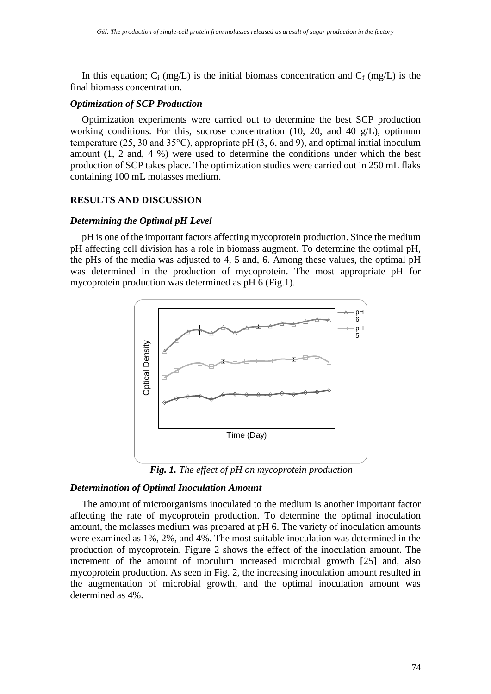In this equation;  $C_i$  (mg/L) is the initial biomass concentration and  $C_f$  (mg/L) is the final biomass concentration.

#### *Optimization of SCP Production*

Optimization experiments were carried out to determine the best SCP production working conditions. For this, sucrose concentration (10, 20, and 40 g/L), optimum temperature (25, 30 and 35 $^{\circ}$ C), appropriate pH (3, 6, and 9), and optimal initial inoculum amount (1, 2 and, 4 %) were used to determine the conditions under which the best production of SCP takes place. The optimization studies were carried out in 250 mL flaks containing 100 mL molasses medium.

## **RESULTS AND DISCUSSION**

## *Determining the Optimal pH Level*

pH is one of the important factors affecting mycoprotein production. Since the medium pH affecting cell division has a role in biomass augment. To determine the optimal pH, the pHs of the media was adjusted to 4, 5 and, 6. Among these values, the optimal pH was determined in the production of mycoprotein. The most appropriate pH for mycoprotein production was determined as pH 6 (Fig.1).



*Fig. 1. The effect of pH on mycoprotein production*

# *Determination of Optimal Inoculation Amount*

The amount of microorganisms inoculated to the medium is another important factor affecting the rate of mycoprotein production. To determine the optimal inoculation amount, the molasses medium was prepared at pH 6. The variety of inoculation amounts were examined as 1%, 2%, and 4%. The most suitable inoculation was determined in the production of mycoprotein. Figure 2 shows the effect of the inoculation amount. The increment of the amount of inoculum increased microbial growth [25] and, also mycoprotein production. As seen in Fig. 2, the increasing inoculation amount resulted in the augmentation of microbial growth, and the optimal inoculation amount was determined as 4%.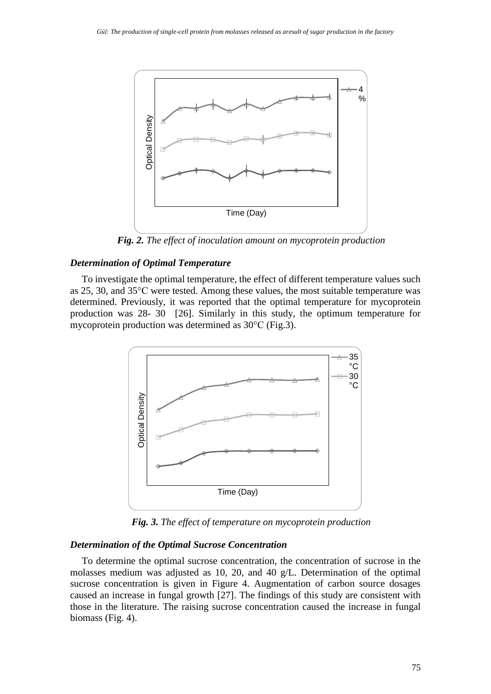

*Fig. 2. The effect of inoculation amount on mycoprotein production*

## *Determination of Optimal Temperature*

To investigate the optimal temperature, the effect of different temperature values such as 25, 30, and 35°C were tested. Among these values, the most suitable temperature was determined. Previously, it was reported that the optimal temperature for mycoprotein production was 28- 30 [26]. Similarly in this study, the optimum temperature for mycoprotein production was determined as 30°C (Fig.3).



*Fig. 3. The effect of temperature on mycoprotein production*

## *Determination of the Optimal Sucrose Concentration*

To determine the optimal sucrose concentration, the concentration of sucrose in the molasses medium was adjusted as 10, 20, and 40 g/L. Determination of the optimal sucrose concentration is given in Figure 4. Augmentation of carbon source dosages caused an increase in fungal growth [27]. The findings of this study are consistent with those in the literature. The raising sucrose concentration caused the increase in fungal biomass (Fig. 4).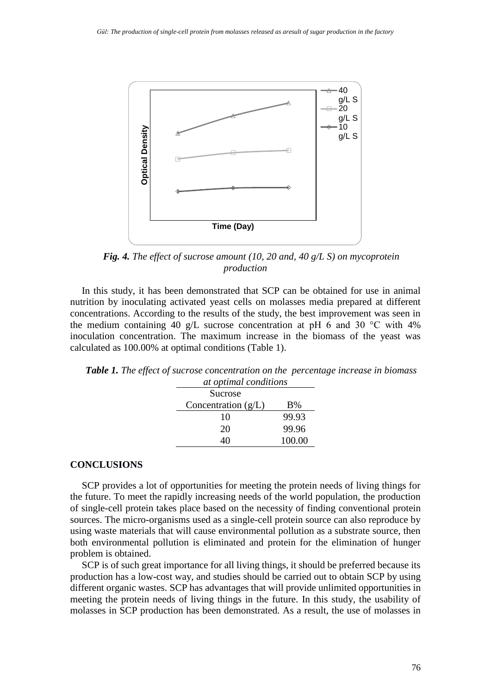

*Fig. 4. The effect of sucrose amount (10, 20 and, 40 g/L S) on mycoprotein production*

In this study, it has been demonstrated that SCP can be obtained for use in animal nutrition by inoculating activated yeast cells on molasses media prepared at different concentrations. According to the results of the study, the best improvement was seen in the medium containing 40 g/L sucrose concentration at pH 6 and 30  $\degree$ C with 4% inoculation concentration. The maximum increase in the biomass of the yeast was calculated as 100.00% at optimal conditions (Table 1).

| at optimal conditions |        |
|-----------------------|--------|
| Sucrose               |        |
| Concentration $(g/L)$ | B%     |
| 10                    | 99.93  |
| 20                    | 99.96  |
|                       | 100.00 |

*Table 1. The effect of sucrose concentration on the percentage increase in biomass* 

## **CONCLUSIONS**

SCP provides a lot of opportunities for meeting the protein needs of living things for the future. To meet the rapidly increasing needs of the world population, the production of single-cell protein takes place based on the necessity of finding conventional protein sources. The micro-organisms used as a single-cell protein source can also reproduce by using waste materials that will cause environmental pollution as a substrate source, then both environmental pollution is eliminated and protein for the elimination of hunger problem is obtained.

SCP is of such great importance for all living things, it should be preferred because its production has a low-cost way, and studies should be carried out to obtain SCP by using different organic wastes. SCP has advantages that will provide unlimited opportunities in meeting the protein needs of living things in the future. In this study, the usability of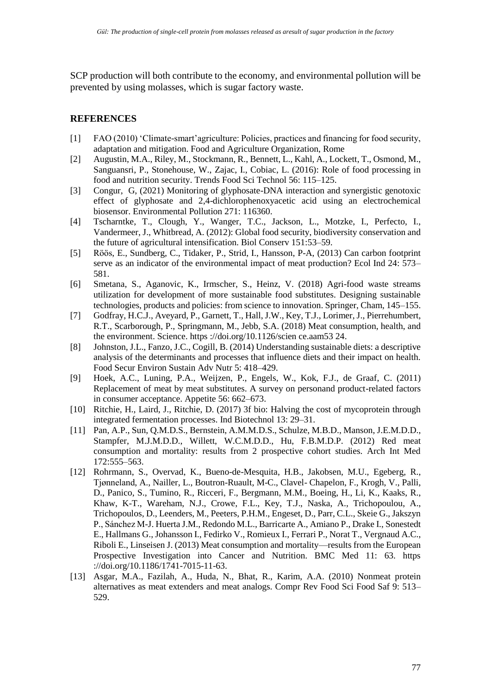SCP production will both contribute to the economy, and environmental pollution will be prevented by using molasses, which is sugar factory waste.

# **REFERENCES**

- [1] FAO (2010) 'Climate-smart'agriculture: Policies, practices and financing for food security, adaptation and mitigation. Food and Agriculture Organization, Rome
- [2] Augustin, M.A., Riley, M., Stockmann, R., Bennett, L., Kahl, A., Lockett, T., Osmond, M., Sanguansri, P., Stonehouse, W., Zajac, I., Cobiac, L. (2016): Role of food processing in food and nutrition security. Trends Food Sci Technol 56: 115–125.
- [3] Congur, G, (2021) Monitoring of glyphosate-DNA interaction and synergistic genotoxic effect of glyphosate and 2,4-dichlorophenoxyacetic acid using an electrochemical biosensor. Environmental Pollution 271: 116360.
- [4] Tscharntke, T., Clough, Y., Wanger, T.C., Jackson, L., Motzke, I., Perfecto, I., Vandermeer, J., Whitbread, A. (2012): Global food security, biodiversity conservation and the future of agricultural intensification. Biol Conserv 151:53–59.
- [5] Röös, E., Sundberg, C., Tidaker, P., Strid, I., Hansson, P-A, (2013) Can carbon footprint serve as an indicator of the environmental impact of meat production? Ecol Ind 24: 573– 581.
- [6] Smetana, S., Aganovic, K., Irmscher, S., Heinz, V. (2018) Agri-food waste streams utilization for development of more sustainable food substitutes. Designing sustainable technologies, products and policies: from science to innovation. Springer, Cham, 145–155.
- [7] Godfray, H.C.J., Aveyard, P., Garnett, T., Hall, J.W., Key, T.J., Lorimer, J., Pierrehumbert, R.T., Scarborough, P., Springmann, M., Jebb, S.A. (2018) Meat consumption, health, and the environment. Science. https ://doi.org/10.1126/scien ce.aam53 24.
- [8] Johnston, J.L., Fanzo, J.C., Cogill, B. (2014) Understanding sustainable diets: a descriptive analysis of the determinants and processes that influence diets and their impact on health. Food Secur Environ Sustain Adv Nutr 5: 418–429.
- [9] Hoek, A.C., Luning, P.A., Weijzen, P., Engels, W., Kok, F.J., de Graaf, C. (2011) Replacement of meat by meat substitutes. A survey on personand product-related factors in consumer acceptance. Appetite 56: 662–673.
- [10] Ritchie, H., Laird, J., Ritchie, D. (2017) 3f bio: Halving the cost of mycoprotein through integrated fermentation processes. Ind Biotechnol 13: 29–31.
- [11] Pan, A.P., Sun, Q.M.D.S., Bernstein, A.M.M.D.S., Schulze, M.B.D., Manson, J.E.M.D.D., Stampfer, M.J.M.D.D., Willett, W.C.M.D.D., Hu, F.B.M.D.P. (2012) Red meat consumption and mortality: results from 2 prospective cohort studies. Arch Int Med 172:555–563.
- [12] Rohrmann, S., Overvad, K., Bueno-de-Mesquita, H.B., Jakobsen, M.U., Egeberg, R., Tjønneland, A., Nailler, L., Boutron-Ruault, M-C., Clavel- Chapelon, F., Krogh, V., Palli, D., Panico, S., Tumino, R., Ricceri, F., Bergmann, M.M., Boeing, H., Li, K., Kaaks, R., Khaw, K-T., Wareham, N.J., Crowe, F.L., Key, T.J., Naska, A., Trichopoulou, A., Trichopoulos, D., Leenders, M., Peeters, P.H.M., Engeset, D., Parr, C.L., Skeie G., Jakszyn P., Sánchez M-J. Huerta J.M., Redondo M.L., Barricarte A., Amiano P., Drake I., Sonestedt E., Hallmans G., Johansson I., Fedirko V., Romieux I., Ferrari P., Norat T., Vergnaud A.C., Riboli E., Linseisen J. (2013) Meat consumption and mortality—results from the European Prospective Investigation into Cancer and Nutrition. BMC Med 11: 63. https ://doi.org/10.1186/1741-7015-11-63.
- [13] Asgar, M.A., Fazilah, A., Huda, N., Bhat, R., Karim, A.A. (2010) Nonmeat protein alternatives as meat extenders and meat analogs. Compr Rev Food Sci Food Saf 9: 513– 529.